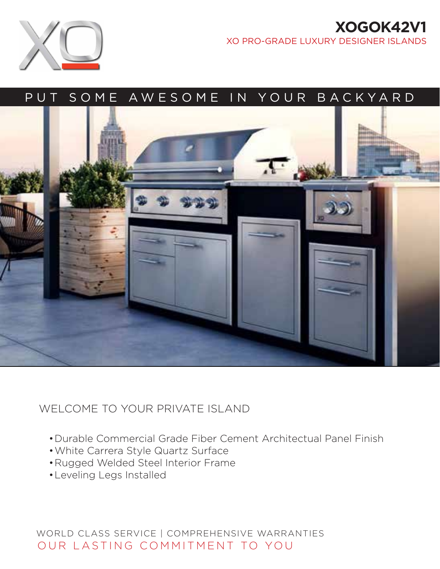# **XOGOK42V1**  XO PRO-GRADE LUXURY DESIGNER ISLANDS



# PUT SOME AWESOME IN YOUR BACKYARD



# WELCOME TO YOUR PRIVATE ISLAND

- •Durable Commercial Grade Fiber Cement Architectual Panel Finish
- •White Carrera Style Quartz Surface
- •Rugged Welded Steel Interior Frame
- •Leveling Legs Installed

WORLD CLASS SERVICE | COMPREHENSIVE WARRANTIES OUR LASTING COMMITMENT TO YOU